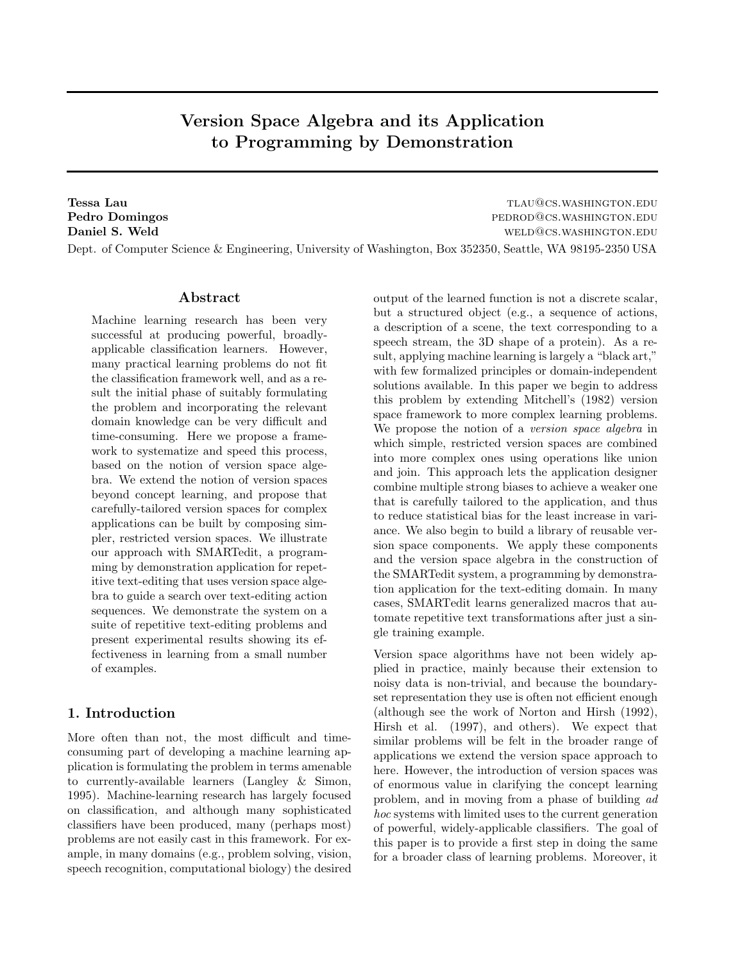# Version Space Algebra and its Application to Programming by Demonstration

Tessa Lau tlau@cs.washington.edu Pedro Domingos **pedro Domingos pedrodos** pedrodos pedrodos pedrodos pedrodos pedrodos pedrodos pedrodos e pedro **Daniel S. Weld well well as a set of the contract of the contract of the contract of the contract of the contract of the contract of the contract of the contract of the contract of the contract of the contract of the co** Dept. of Computer Science & Engineering, University of Washington, Box 352350, Seattle, WA 98195-2350 USA

### Abstract

Machine learning research has been very successful at producing powerful, broadlyapplicable classification learners. However, many practical learning problems do not fit the classification framework well, and as a result the initial phase of suitably formulating the problem and incorporating the relevant domain knowledge can be very difficult and time-consuming. Here we propose a framework to systematize and speed this process, based on the notion of version space algebra. We extend the notion of version spaces beyond concept learning, and propose that carefully-tailored version spaces for complex applications can be built by composing simpler, restricted version spaces. We illustrate our approach with SMARTedit, a programming by demonstration application for repetitive text-editing that uses version space algebra to guide a search over text-editing action sequences. We demonstrate the system on a suite of repetitive text-editing problems and present experimental results showing its effectiveness in learning from a small number of examples.

## 1. Introduction

More often than not, the most difficult and timeconsuming part of developing a machine learning application is formulating the problem in terms amenable to currently-available learners (Langley & Simon, 1995). Machine-learning research has largely focused on classification, and although many sophisticated classifiers have been produced, many (perhaps most) problems are not easily cast in this framework. For example, in many domains (e.g., problem solving, vision, speech recognition, computational biology) the desired output of the learned function is not a discrete scalar, but a structured object (e.g., a sequence of actions, a description of a scene, the text corresponding to a speech stream, the 3D shape of a protein). As a result, applying machine learning is largely a "black art," with few formalized principles or domain-independent solutions available. In this paper we begin to address this problem by extending Mitchell's (1982) version space framework to more complex learning problems. We propose the notion of a version space algebra in which simple, restricted version spaces are combined into more complex ones using operations like union and join. This approach lets the application designer combine multiple strong biases to achieve a weaker one that is carefully tailored to the application, and thus to reduce statistical bias for the least increase in variance. We also begin to build a library of reusable version space components. We apply these components and the version space algebra in the construction of the SMARTedit system, a programming by demonstration application for the text-editing domain. In many cases, SMARTedit learns generalized macros that automate repetitive text transformations after just a single training example.

Version space algorithms have not been widely applied in practice, mainly because their extension to noisy data is non-trivial, and because the boundaryset representation they use is often not efficient enough (although see the work of Norton and Hirsh (1992), Hirsh et al. (1997), and others). We expect that similar problems will be felt in the broader range of applications we extend the version space approach to here. However, the introduction of version spaces was of enormous value in clarifying the concept learning problem, and in moving from a phase of building ad hoc systems with limited uses to the current generation of powerful, widely-applicable classifiers. The goal of this paper is to provide a first step in doing the same for a broader class of learning problems. Moreover, it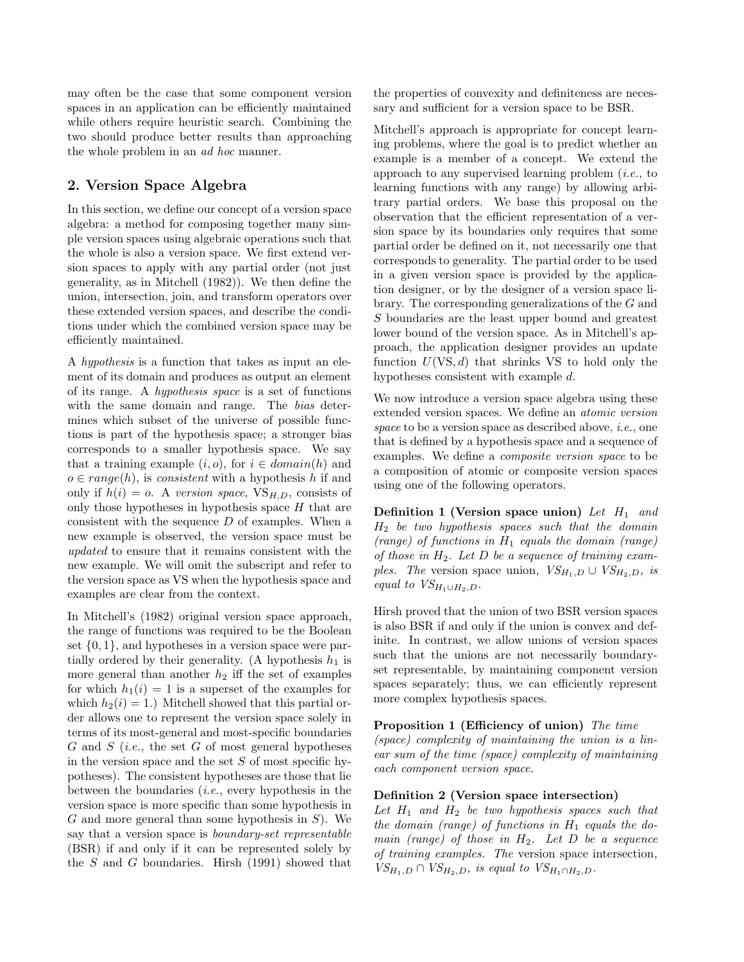may often be the case that some component version spaces in an application can be efficiently maintained while others require heuristic search. Combining the two should produce better results than approaching the whole problem in an ad hoc manner.

# 2. Version Space Algebra

In this section, we define our concept of a version space algebra: a method for composing together many simple version spaces using algebraic operations such that the whole is also a version space. We first extend version spaces to apply with any partial order (not just generality, as in Mitchell (1982)). We then define the union, intersection, join, and transform operators over these extended version spaces, and describe the conditions under which the combined version space may be efficiently maintained.

A hypothesis is a function that takes as input an element of its domain and produces as output an element of its range. A hypothesis space is a set of functions with the same domain and range. The *bias* determines which subset of the universe of possible functions is part of the hypothesis space; a stronger bias corresponds to a smaller hypothesis space. We say that a training example  $(i, o)$ , for  $i \in domain(h)$  and  $o \in range(h)$ , is consistent with a hypothesis h if and only if  $h(i) = o$ . A version space,  $V_{H,D}$ , consists of only those hypotheses in hypothesis space  $H$  that are consistent with the sequence D of examples. When a new example is observed, the version space must be updated to ensure that it remains consistent with the new example. We will omit the subscript and refer to the version space as VS when the hypothesis space and examples are clear from the context.

In Mitchell's (1982) original version space approach, the range of functions was required to be the Boolean set  $\{0, 1\}$ , and hypotheses in a version space were partially ordered by their generality. (A hypothesis  $h_1$  is more general than another  $h_2$  iff the set of examples for which  $h_1(i) = 1$  is a superset of the examples for which  $h_2(i) = 1$ .) Mitchell showed that this partial order allows one to represent the version space solely in terms of its most-general and most-specific boundaries G and S (*i.e.*, the set G of most general hypotheses in the version space and the set  $S$  of most specific hypotheses). The consistent hypotheses are those that lie between the boundaries  $(i.e., every hypothesis in the$ version space is more specific than some hypothesis in  $G$  and more general than some hypothesis in  $S$ ). We say that a version space is *boundary-set representable* (BSR) if and only if it can be represented solely by the S and G boundaries. Hirsh (1991) showed that

the properties of convexity and definiteness are necessary and sufficient for a version space to be BSR.

Mitchell's approach is appropriate for concept learning problems, where the goal is to predict whether an example is a member of a concept. We extend the approach to any supervised learning problem  $(i.e.,$  to learning functions with any range) by allowing arbitrary partial orders. We base this proposal on the observation that the efficient representation of a version space by its boundaries only requires that some partial order be defined on it, not necessarily one that corresponds to generality. The partial order to be used in a given version space is provided by the application designer, or by the designer of a version space library. The corresponding generalizations of the G and S boundaries are the least upper bound and greatest lower bound of the version space. As in Mitchell's approach, the application designer provides an update function  $U(VS, d)$  that shrinks VS to hold only the hypotheses consistent with example d.

We now introduce a version space algebra using these extended version spaces. We define an atomic version space to be a version space as described above, *i.e.*, one that is defined by a hypothesis space and a sequence of examples. We define a composite version space to be a composition of atomic or composite version spaces using one of the following operators.

Definition 1 (Version space union) Let  $H_1$  and  $H_2$  be two hypothesis spaces such that the domain (range) of functions in  $H_1$  equals the domain (range) of those in  $H_2$ . Let D be a sequence of training examples. The version space union,  $VS_{H_1,D} \cup VS_{H_2,D}$ , is equal to  $VS_{H_1\cup H_2,D}$ .

Hirsh proved that the union of two BSR version spaces is also BSR if and only if the union is convex and definite. In contrast, we allow unions of version spaces such that the unions are not necessarily boundaryset representable, by maintaining component version spaces separately; thus, we can efficiently represent more complex hypothesis spaces.

Proposition 1 (Efficiency of union) The time (space) complexity of maintaining the union is a linear sum of the time (space) complexity of maintaining each component version space.

### Definition 2 (Version space intersection)

Let  $H_1$  and  $H_2$  be two hypothesis spaces such that the domain (range) of functions in  $H_1$  equals the domain (range) of those in  $H_2$ . Let  $D$  be a sequence of training examples. The version space intersection,  $VS_{H_1,D} \cap VS_{H_2,D}$ , is equal to  $VS_{H_1 \cap H_2,D}$ .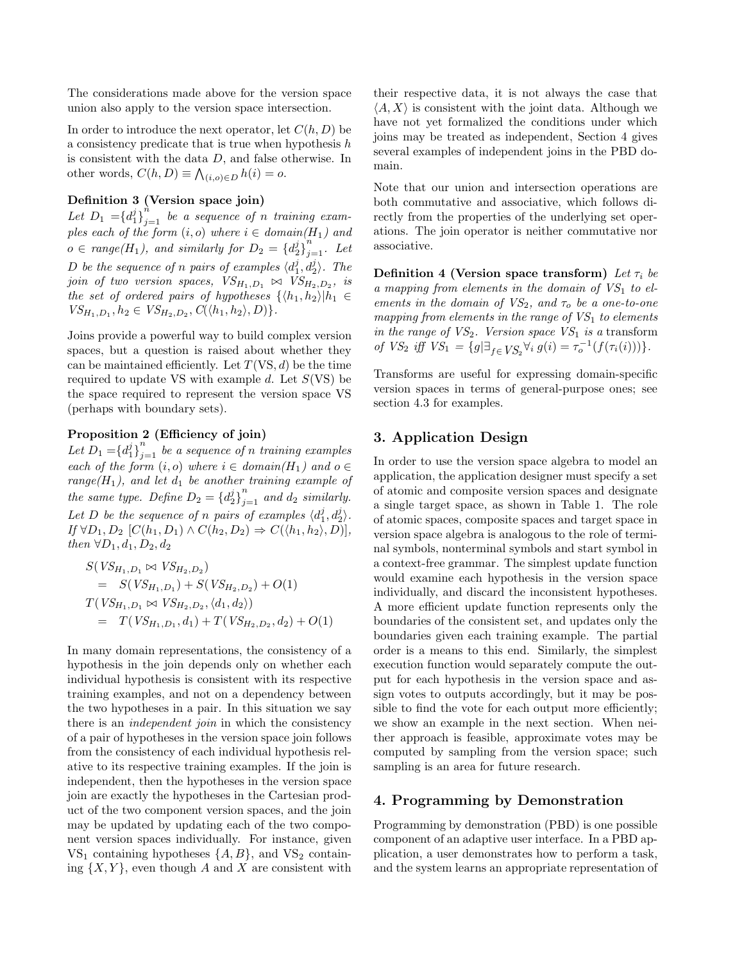The considerations made above for the version space union also apply to the version space intersection.

In order to introduce the next operator, let  $C(h, D)$  be a consistency predicate that is true when hypothesis h is consistent with the data  $D$ , and false otherwise. In other words,  $C(h, D) \equiv \bigwedge_{(i, o) \in D} h(i) = o$ .

## Definition 3 (Version space join)

Let  $D_1 = {d_1^j}_{j=1}^n$  be a sequence of n training examples each of the form  $(i, o)$  where  $i \in domain(H_1)$  and  $o \in range(H_1)$ , and similarly for  $D_2 = \{d_2^j\}_{j=1}^n$ . Let D be the sequence of n pairs of examples  $\langle d_1^j, d_2^j \rangle$ . The join of two version spaces,  $VS_{H_1,D_1} \bowtie VS_{H_2,D_2}$ , is the set of ordered pairs of hypotheses  $\{\langle h_1, h_2 \rangle | h_1 \in$  $VS_{H_1,D_1}, h_2 \in VS_{H_2,D_2}, C(\langle h_1, h_2 \rangle, D)\}.$ 

Joins provide a powerful way to build complex version spaces, but a question is raised about whether they can be maintained efficiently. Let  $T(VS, d)$  be the time required to update VS with example  $d$ . Let  $S(VS)$  be the space required to represent the version space VS (perhaps with boundary sets).

# Proposition 2 (Efficiency of join)

Let  $D_1 = {d_1^j}_{j=1}^n$  be a sequence of n training examples each of the form  $(i, o)$  where  $i \in domain(H_1)$  and  $o \in$  $range(H_1)$ , and let  $d_1$  be another training example of the same type. Define  $D_2 = \{d_2^j\}_{j=1}^n$  and  $d_2$  similarly. Let D be the sequence of n pairs of examples  $\langle d_1^j, d_2^j \rangle$ .  $If \forall D_1, D_2 \ [C(h_1, D_1) \land C(h_2, D_2) \Rightarrow C(\langle h_1, h_2 \rangle, D)],$ then  $\forall D_1, d_1, D_2, d_2$ 

$$
S(VS_{H_1,D_1} \bowtie VS_{H_2,D_2})
$$
  
=  $S(VS_{H_1,D_1}) + S(VS_{H_2,D_2}) + O(1)$   
 $T(VS_{H_1,D_1} \bowtie VS_{H_2,D_2}, \langle d_1, d_2 \rangle)$   
=  $T(VS_{H_1,D_1}, d_1) + T(VS_{H_2,D_2}, d_2) + O(1)$ 

In many domain representations, the consistency of a hypothesis in the join depends only on whether each individual hypothesis is consistent with its respective training examples, and not on a dependency between the two hypotheses in a pair. In this situation we say there is an independent join in which the consistency of a pair of hypotheses in the version space join follows from the consistency of each individual hypothesis relative to its respective training examples. If the join is independent, then the hypotheses in the version space join are exactly the hypotheses in the Cartesian product of the two component version spaces, and the join may be updated by updating each of the two component version spaces individually. For instance, given  $VS_1$  containing hypotheses  $\{A, B\}$ , and  $VS_2$  containing  $\{X, Y\}$ , even though A and X are consistent with their respective data, it is not always the case that  $\langle A, X \rangle$  is consistent with the joint data. Although we have not yet formalized the conditions under which joins may be treated as independent, Section 4 gives several examples of independent joins in the PBD domain.

Note that our union and intersection operations are both commutative and associative, which follows directly from the properties of the underlying set operations. The join operator is neither commutative nor associative.

Definition 4 (Version space transform) Let  $\tau_i$  be a mapping from elements in the domain of  $VS<sub>1</sub>$  to elements in the domain of  $VS_2$ , and  $\tau_o$  be a one-to-one mapping from elements in the range of  $VS<sub>1</sub>$  to elements in the range of  $VS_2$ . Version space  $VS_1$  is a transform of  $VS_2$  iff  $VS_1 = \{g | \exists_{f \in VS_2} \forall_i g(i) = \tau_o^{-1}(f(\tau_i(i)))\}.$ 

Transforms are useful for expressing domain-specific version spaces in terms of general-purpose ones; see section 4.3 for examples.

# 3. Application Design

In order to use the version space algebra to model an application, the application designer must specify a set of atomic and composite version spaces and designate a single target space, as shown in Table 1. The role of atomic spaces, composite spaces and target space in version space algebra is analogous to the role of terminal symbols, nonterminal symbols and start symbol in a context-free grammar. The simplest update function would examine each hypothesis in the version space individually, and discard the inconsistent hypotheses. A more efficient update function represents only the boundaries of the consistent set, and updates only the boundaries given each training example. The partial order is a means to this end. Similarly, the simplest execution function would separately compute the output for each hypothesis in the version space and assign votes to outputs accordingly, but it may be possible to find the vote for each output more efficiently; we show an example in the next section. When neither approach is feasible, approximate votes may be computed by sampling from the version space; such sampling is an area for future research.

# 4. Programming by Demonstration

Programming by demonstration (PBD) is one possible component of an adaptive user interface. In a PBD application, a user demonstrates how to perform a task, and the system learns an appropriate representation of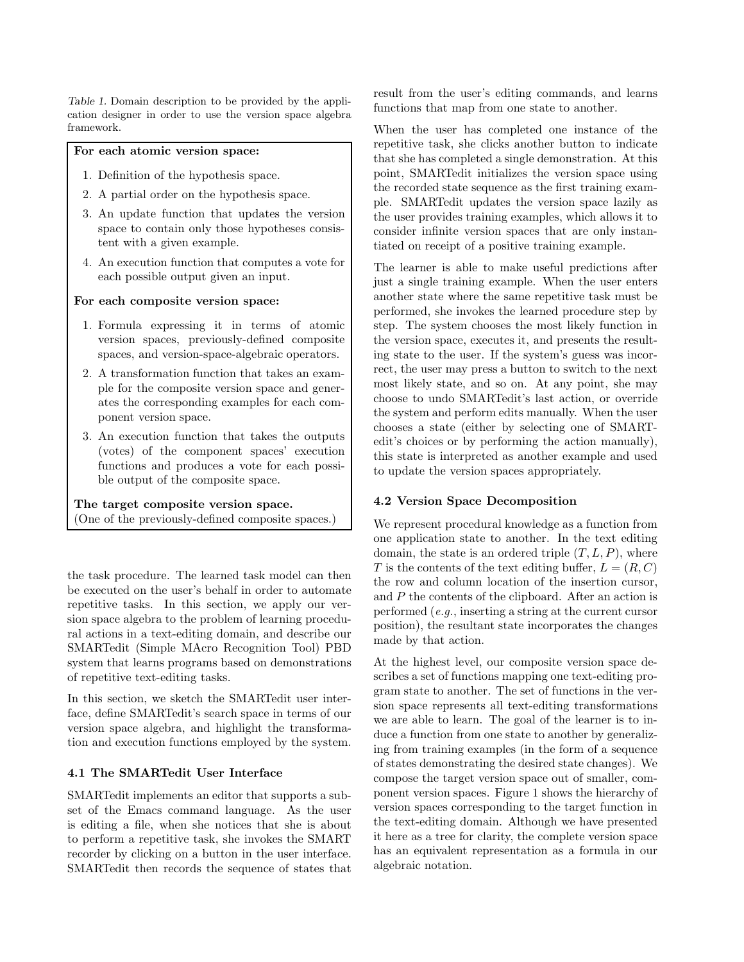Table 1. Domain description to be provided by the application designer in order to use the version space algebra framework.

### For each atomic version space:

- 1. Definition of the hypothesis space.
- 2. A partial order on the hypothesis space.
- 3. An update function that updates the version space to contain only those hypotheses consistent with a given example.
- 4. An execution function that computes a vote for each possible output given an input.

#### For each composite version space:

- 1. Formula expressing it in terms of atomic version spaces, previously-defined composite spaces, and version-space-algebraic operators.
- 2. A transformation function that takes an example for the composite version space and generates the corresponding examples for each component version space.
- 3. An execution function that takes the outputs (votes) of the component spaces' execution functions and produces a vote for each possible output of the composite space.

The target composite version space. (One of the previously-defined composite spaces.)

the task procedure. The learned task model can then be executed on the user's behalf in order to automate repetitive tasks. In this section, we apply our version space algebra to the problem of learning procedural actions in a text-editing domain, and describe our SMARTedit (Simple MAcro Recognition Tool) PBD system that learns programs based on demonstrations of repetitive text-editing tasks.

In this section, we sketch the SMARTedit user interface, define SMARTedit's search space in terms of our version space algebra, and highlight the transformation and execution functions employed by the system.

#### 4.1 The SMARTedit User Interface

SMARTedit implements an editor that supports a subset of the Emacs command language. As the user is editing a file, when she notices that she is about to perform a repetitive task, she invokes the SMART recorder by clicking on a button in the user interface. SMARTedit then records the sequence of states that result from the user's editing commands, and learns functions that map from one state to another.

When the user has completed one instance of the repetitive task, she clicks another button to indicate that she has completed a single demonstration. At this point, SMARTedit initializes the version space using the recorded state sequence as the first training example. SMARTedit updates the version space lazily as the user provides training examples, which allows it to consider infinite version spaces that are only instantiated on receipt of a positive training example.

The learner is able to make useful predictions after just a single training example. When the user enters another state where the same repetitive task must be performed, she invokes the learned procedure step by step. The system chooses the most likely function in the version space, executes it, and presents the resulting state to the user. If the system's guess was incorrect, the user may press a button to switch to the next most likely state, and so on. At any point, she may choose to undo SMARTedit's last action, or override the system and perform edits manually. When the user chooses a state (either by selecting one of SMARTedit's choices or by performing the action manually), this state is interpreted as another example and used to update the version spaces appropriately.

#### 4.2 Version Space Decomposition

We represent procedural knowledge as a function from one application state to another. In the text editing domain, the state is an ordered triple  $(T, L, P)$ , where T is the contents of the text editing buffer,  $L = (R, C)$ the row and column location of the insertion cursor, and P the contents of the clipboard. After an action is performed (e.g., inserting a string at the current cursor position), the resultant state incorporates the changes made by that action.

At the highest level, our composite version space describes a set of functions mapping one text-editing program state to another. The set of functions in the version space represents all text-editing transformations we are able to learn. The goal of the learner is to induce a function from one state to another by generalizing from training examples (in the form of a sequence of states demonstrating the desired state changes). We compose the target version space out of smaller, component version spaces. Figure 1 shows the hierarchy of version spaces corresponding to the target function in the text-editing domain. Although we have presented it here as a tree for clarity, the complete version space has an equivalent representation as a formula in our algebraic notation.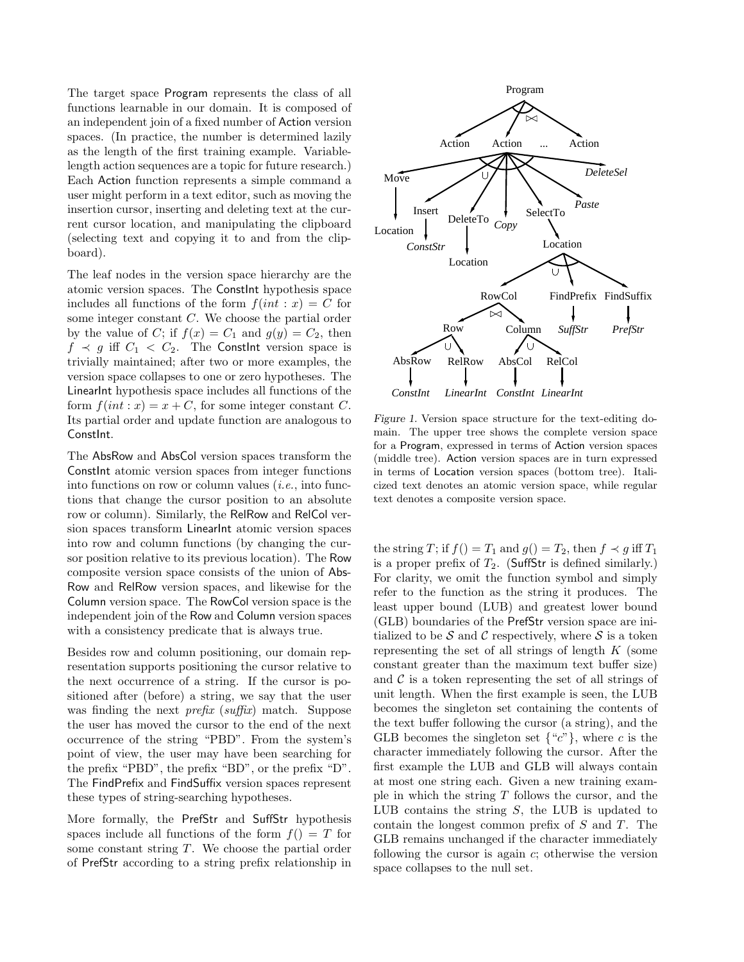The target space Program represents the class of all functions learnable in our domain. It is composed of an independent join of a fixed number of Action version spaces. (In practice, the number is determined lazily as the length of the first training example. Variablelength action sequences are a topic for future research.) Each Action function represents a simple command a user might perform in a text editor, such as moving the insertion cursor, inserting and deleting text at the current cursor location, and manipulating the clipboard (selecting text and copying it to and from the clipboard).

The leaf nodes in the version space hierarchy are the atomic version spaces. The ConstInt hypothesis space includes all functions of the form  $f(int : x) = C$  for some integer constant C. We choose the partial order by the value of C; if  $f(x) = C_1$  and  $g(y) = C_2$ , then  $f \prec g$  iff  $C_1 \prec C_2$ . The Constint version space is trivially maintained; after two or more examples, the version space collapses to one or zero hypotheses. The LinearInt hypothesis space includes all functions of the form  $f(int : x) = x + C$ , for some integer constant C. Its partial order and update function are analogous to ConstInt.

The AbsRow and AbsCol version spaces transform the Constant atomic version spaces from integer functions into functions on row or column values  $(i.e.,$  into functions that change the cursor position to an absolute row or column). Similarly, the RelRow and RelCol version spaces transform LinearInt atomic version spaces into row and column functions (by changing the cursor position relative to its previous location). The Row composite version space consists of the union of Abs-Row and RelRow version spaces, and likewise for the Column version space. The RowCol version space is the independent join of the Row and Column version spaces with a consistency predicate that is always true.

Besides row and column positioning, our domain representation supports positioning the cursor relative to the next occurrence of a string. If the cursor is positioned after (before) a string, we say that the user was finding the next *prefix* (suffix) match. Suppose the user has moved the cursor to the end of the next occurrence of the string "PBD". From the system's point of view, the user may have been searching for the prefix "PBD", the prefix "BD", or the prefix "D". The FindPrefix and FindSuffix version spaces represent these types of string-searching hypotheses.

More formally, the PrefStr and SuffStr hypothesis spaces include all functions of the form  $f() = T$  for some constant string T. We choose the partial order of PrefStr according to a string prefix relationship in



Figure 1. Version space structure for the text-editing domain. The upper tree shows the complete version space for a Program, expressed in terms of Action version spaces (middle tree). Action version spaces are in turn expressed in terms of Location version spaces (bottom tree). Italicized text denotes an atomic version space, while regular text denotes a composite version space.

the string T; if  $f() = T_1$  and  $g() = T_2$ , then  $f \prec g$  iff  $T_1$ is a proper prefix of  $T_2$ . (SuffStr is defined similarly.) For clarity, we omit the function symbol and simply refer to the function as the string it produces. The least upper bound (LUB) and greatest lower bound (GLB) boundaries of the PrefStr version space are initialized to be  $S$  and  $C$  respectively, where  $S$  is a token representing the set of all strings of length  $K$  (some constant greater than the maximum text buffer size) and  $\mathcal C$  is a token representing the set of all strings of unit length. When the first example is seen, the LUB becomes the singleton set containing the contents of the text buffer following the cursor (a string), and the GLB becomes the singleton set  $\{^{\omega}c^{\gamma}\}$ , where c is the character immediately following the cursor. After the first example the LUB and GLB will always contain at most one string each. Given a new training example in which the string  $T$  follows the cursor, and the LUB contains the string  $S$ , the LUB is updated to contain the longest common prefix of S and T. The GLB remains unchanged if the character immediately following the cursor is again  $c$ ; otherwise the version space collapses to the null set.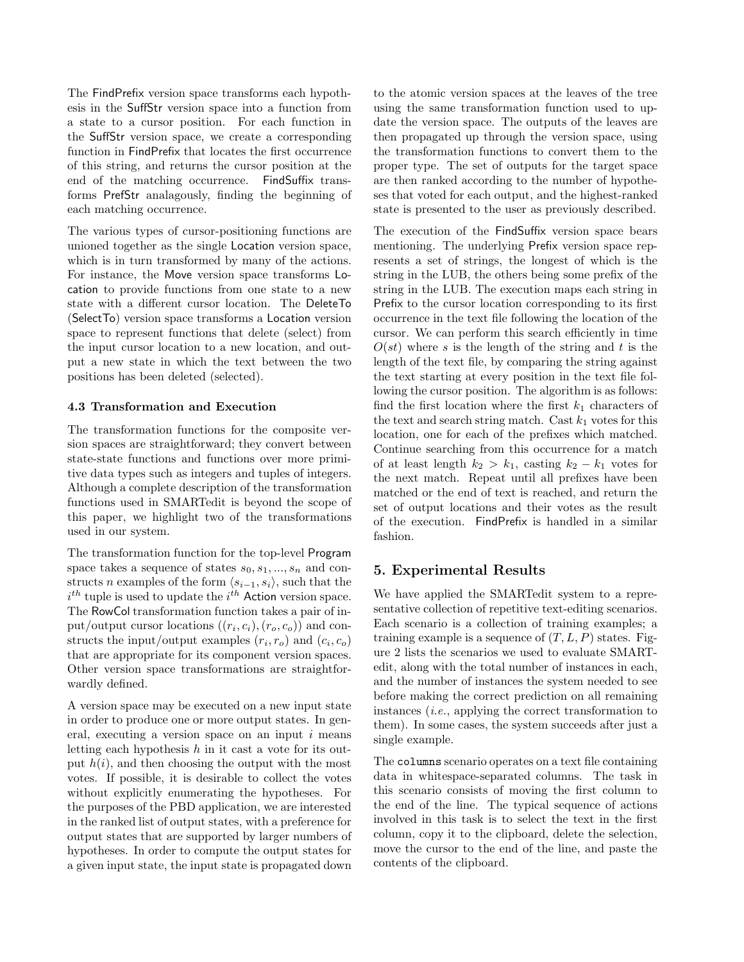The FindPrefix version space transforms each hypothesis in the SuffStr version space into a function from a state to a cursor position. For each function in the SuffStr version space, we create a corresponding function in FindPrefix that locates the first occurrence of this string, and returns the cursor position at the end of the matching occurrence. FindSuffix transforms PrefStr analagously, finding the beginning of each matching occurrence.

The various types of cursor-positioning functions are unioned together as the single Location version space, which is in turn transformed by many of the actions. For instance, the Move version space transforms Location to provide functions from one state to a new state with a different cursor location. The DeleteTo (SelectTo) version space transforms a Location version space to represent functions that delete (select) from the input cursor location to a new location, and output a new state in which the text between the two positions has been deleted (selected).

#### 4.3 Transformation and Execution

The transformation functions for the composite version spaces are straightforward; they convert between state-state functions and functions over more primitive data types such as integers and tuples of integers. Although a complete description of the transformation functions used in SMARTedit is beyond the scope of this paper, we highlight two of the transformations used in our system.

The transformation function for the top-level Program space takes a sequence of states  $s_0, s_1, ..., s_n$  and constructs n examples of the form  $\langle s_{i-1}, s_i \rangle$ , such that the  $i^{th}$  tuple is used to update the  $i^{th}$  Action version space. The RowCol transformation function takes a pair of input/output cursor locations  $((r_i, c_i), (r_o, c_o))$  and constructs the input/output examples  $(r_i, r_o)$  and  $(c_i, c_o)$ that are appropriate for its component version spaces. Other version space transformations are straightforwardly defined.

A version space may be executed on a new input state in order to produce one or more output states. In general, executing a version space on an input  $i$  means letting each hypothesis  $h$  in it cast a vote for its output  $h(i)$ , and then choosing the output with the most votes. If possible, it is desirable to collect the votes without explicitly enumerating the hypotheses. For the purposes of the PBD application, we are interested in the ranked list of output states, with a preference for output states that are supported by larger numbers of hypotheses. In order to compute the output states for a given input state, the input state is propagated down

to the atomic version spaces at the leaves of the tree using the same transformation function used to update the version space. The outputs of the leaves are then propagated up through the version space, using the transformation functions to convert them to the proper type. The set of outputs for the target space are then ranked according to the number of hypotheses that voted for each output, and the highest-ranked state is presented to the user as previously described.

The execution of the FindSuffix version space bears mentioning. The underlying Prefix version space represents a set of strings, the longest of which is the string in the LUB, the others being some prefix of the string in the LUB. The execution maps each string in Prefix to the cursor location corresponding to its first occurrence in the text file following the location of the cursor. We can perform this search efficiently in time  $O(st)$  where s is the length of the string and t is the length of the text file, by comparing the string against the text starting at every position in the text file following the cursor position. The algorithm is as follows: find the first location where the first  $k_1$  characters of the text and search string match. Cast  $k_1$  votes for this location, one for each of the prefixes which matched. Continue searching from this occurrence for a match of at least length  $k_2 > k_1$ , casting  $k_2 - k_1$  votes for the next match. Repeat until all prefixes have been matched or the end of text is reached, and return the set of output locations and their votes as the result of the execution. FindPrefix is handled in a similar fashion.

### 5. Experimental Results

We have applied the SMARTedit system to a representative collection of repetitive text-editing scenarios. Each scenario is a collection of training examples; a training example is a sequence of  $(T, L, P)$  states. Figure 2 lists the scenarios we used to evaluate SMARTedit, along with the total number of instances in each, and the number of instances the system needed to see before making the correct prediction on all remaining instances (i.e., applying the correct transformation to them). In some cases, the system succeeds after just a single example.

The columns scenario operates on a text file containing data in whitespace-separated columns. The task in this scenario consists of moving the first column to the end of the line. The typical sequence of actions involved in this task is to select the text in the first column, copy it to the clipboard, delete the selection, move the cursor to the end of the line, and paste the contents of the clipboard.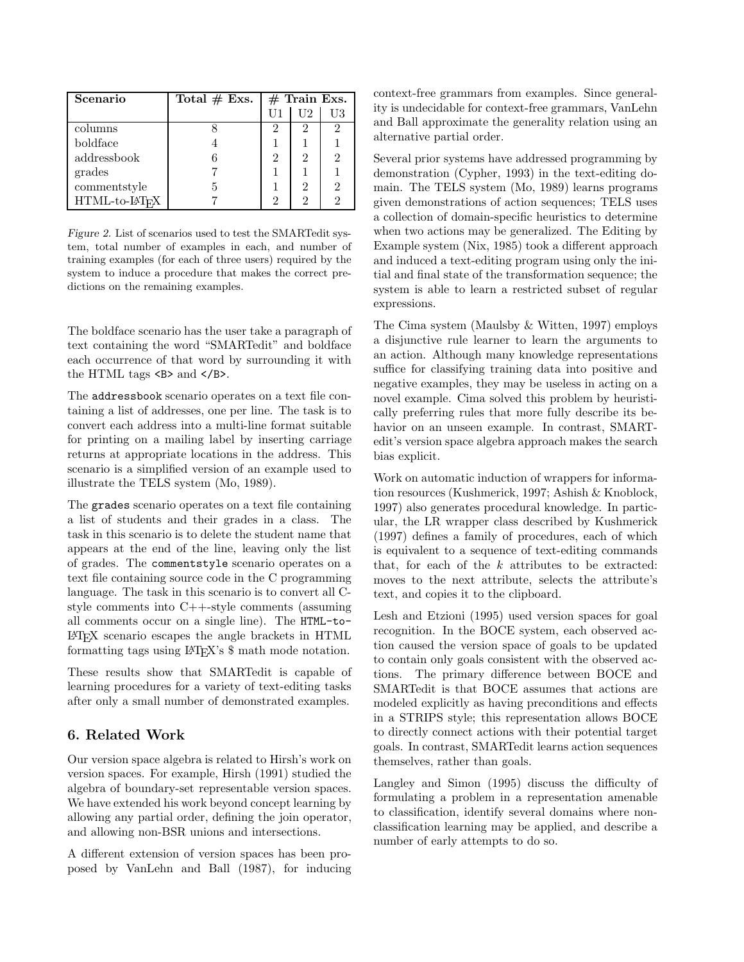| Scenario     | Total $# Exs.$ | $#$ Train Exs. |    |               |
|--------------|----------------|----------------|----|---------------|
|              |                |                | U2 | U3            |
| columns      |                | 2              | 2  | 2             |
| boldface     |                |                |    |               |
| addressbook  |                | 2              | 2  | $\mathcal{D}$ |
| grades       |                |                |    |               |
| commentstyle |                |                | 2  | $\mathcal{D}$ |
| HTML-to-LHFX |                | 2              | 2  | ว             |

Figure 2. List of scenarios used to test the SMARTedit system, total number of examples in each, and number of training examples (for each of three users) required by the system to induce a procedure that makes the correct predictions on the remaining examples.

The boldface scenario has the user take a paragraph of text containing the word "SMARTedit" and boldface each occurrence of that word by surrounding it with the HTML tags <B> and </B>.

The addressbook scenario operates on a text file containing a list of addresses, one per line. The task is to convert each address into a multi-line format suitable for printing on a mailing label by inserting carriage returns at appropriate locations in the address. This scenario is a simplified version of an example used to illustrate the TELS system (Mo, 1989).

The grades scenario operates on a text file containing a list of students and their grades in a class. The task in this scenario is to delete the student name that appears at the end of the line, leaving only the list of grades. The commentstyle scenario operates on a text file containing source code in the C programming language. The task in this scenario is to convert all Cstyle comments into C++-style comments (assuming all comments occur on a single line). The HTML-to-LATEX scenario escapes the angle brackets in HTML formatting tags using LATEX's \$ math mode notation.

These results show that SMARTedit is capable of learning procedures for a variety of text-editing tasks after only a small number of demonstrated examples.

# 6. Related Work

Our version space algebra is related to Hirsh's work on version spaces. For example, Hirsh (1991) studied the algebra of boundary-set representable version spaces. We have extended his work beyond concept learning by allowing any partial order, defining the join operator, and allowing non-BSR unions and intersections.

A different extension of version spaces has been proposed by VanLehn and Ball (1987), for inducing context-free grammars from examples. Since generality is undecidable for context-free grammars, VanLehn and Ball approximate the generality relation using an alternative partial order.

Several prior systems have addressed programming by demonstration (Cypher, 1993) in the text-editing domain. The TELS system (Mo, 1989) learns programs given demonstrations of action sequences; TELS uses a collection of domain-specific heuristics to determine when two actions may be generalized. The Editing by Example system (Nix, 1985) took a different approach and induced a text-editing program using only the initial and final state of the transformation sequence; the system is able to learn a restricted subset of regular expressions.

The Cima system (Maulsby & Witten, 1997) employs a disjunctive rule learner to learn the arguments to an action. Although many knowledge representations suffice for classifying training data into positive and negative examples, they may be useless in acting on a novel example. Cima solved this problem by heuristically preferring rules that more fully describe its behavior on an unseen example. In contrast, SMARTedit's version space algebra approach makes the search bias explicit.

Work on automatic induction of wrappers for information resources (Kushmerick, 1997; Ashish & Knoblock, 1997) also generates procedural knowledge. In particular, the LR wrapper class described by Kushmerick (1997) defines a family of procedures, each of which is equivalent to a sequence of text-editing commands that, for each of the  $k$  attributes to be extracted: moves to the next attribute, selects the attribute's text, and copies it to the clipboard.

Lesh and Etzioni (1995) used version spaces for goal recognition. In the BOCE system, each observed action caused the version space of goals to be updated to contain only goals consistent with the observed actions. The primary difference between BOCE and SMARTedit is that BOCE assumes that actions are modeled explicitly as having preconditions and effects in a STRIPS style; this representation allows BOCE to directly connect actions with their potential target goals. In contrast, SMARTedit learns action sequences themselves, rather than goals.

Langley and Simon (1995) discuss the difficulty of formulating a problem in a representation amenable to classification, identify several domains where nonclassification learning may be applied, and describe a number of early attempts to do so.